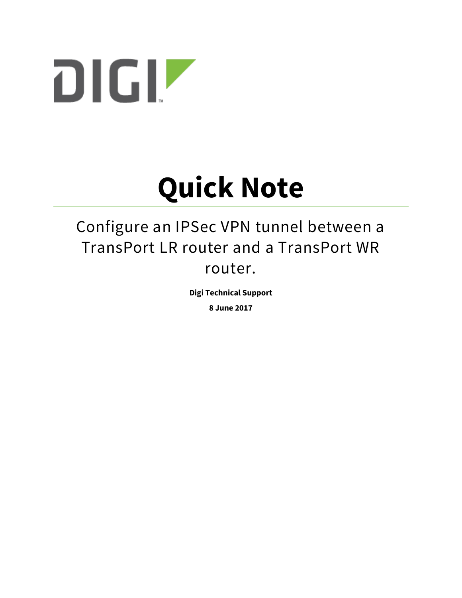

# **Quick Note**

# Configure an IPSec VPN tunnel between a TransPort LR router and a TransPort WR router.

**Digi Technical Support**

**8 June 2017**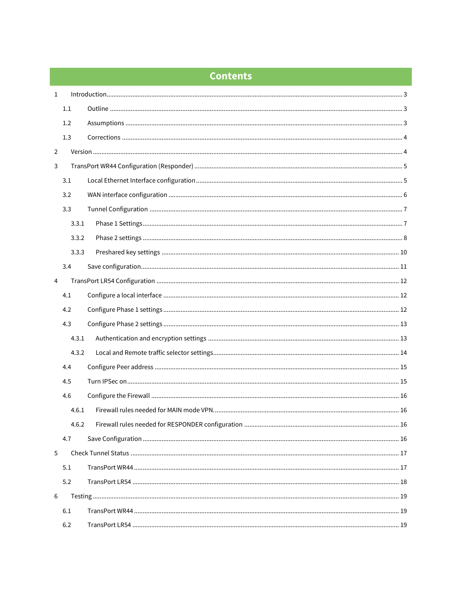## **Contents**

| $\mathbf{1}$ |       |  |  |  |
|--------------|-------|--|--|--|
|              | 1.1   |  |  |  |
|              | 1.2   |  |  |  |
|              | 1.3   |  |  |  |
| 2            |       |  |  |  |
| 3            |       |  |  |  |
|              | 3.1   |  |  |  |
|              | 3.2   |  |  |  |
|              | 3.3   |  |  |  |
|              | 3.3.1 |  |  |  |
|              | 3.3.2 |  |  |  |
|              | 3.3.3 |  |  |  |
|              | 3.4   |  |  |  |
| 4            |       |  |  |  |
|              | 4.1   |  |  |  |
|              | 4.2   |  |  |  |
|              | 4.3   |  |  |  |
|              | 4.3.1 |  |  |  |
|              | 4.3.2 |  |  |  |
|              | 4.4   |  |  |  |
|              | 4.5   |  |  |  |
|              | 4.6   |  |  |  |
|              | 4.6.1 |  |  |  |
|              | 4.6.2 |  |  |  |
|              | 4.7   |  |  |  |
| 5            |       |  |  |  |
|              | 5.1   |  |  |  |
|              | 5.2   |  |  |  |
| 6            |       |  |  |  |
|              | 6.1   |  |  |  |
|              | 6.2   |  |  |  |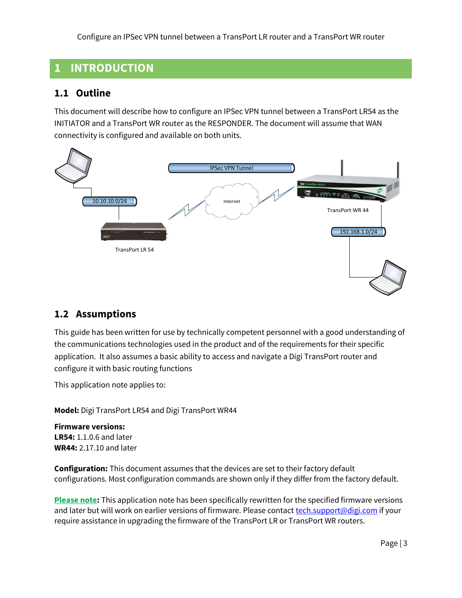# <span id="page-2-0"></span>**1 INTRODUCTION**

#### <span id="page-2-1"></span>**1.1 Outline**

This document will describe how to configure an IPSec VPN tunnel between a TransPort LR54 as the INITIATOR and a TransPort WR router as the RESPONDER. The document will assume that WAN connectivity is configured and available on both units.



#### <span id="page-2-2"></span>**1.2 Assumptions**

This guide has been written for use by technically competent personnel with a good understanding of the communications technologies used in the product and of the requirements for their specific application. It also assumes a basic ability to access and navigate a Digi TransPort router and configure it with basic routing functions

This application note applies to:

**Model:** Digi TransPort LR54 and Digi TransPort WR44

**Firmware versions: LR54:** 1.1.0.6 and later **WR44:** 2.17.10 and later

**Configuration:** This document assumes that the devices are set to their factory default configurations. Most configuration commands are shown only if they differ from the factory default.

**Please note:** This application note has been specifically rewritten for the specified firmware versions and later but will work on earlier versions of firmware. Please contact [tech.support@digi.com](mailto:tech.support@digi.com) if your require assistance in upgrading the firmware of the TransPort LR or TransPort WR routers.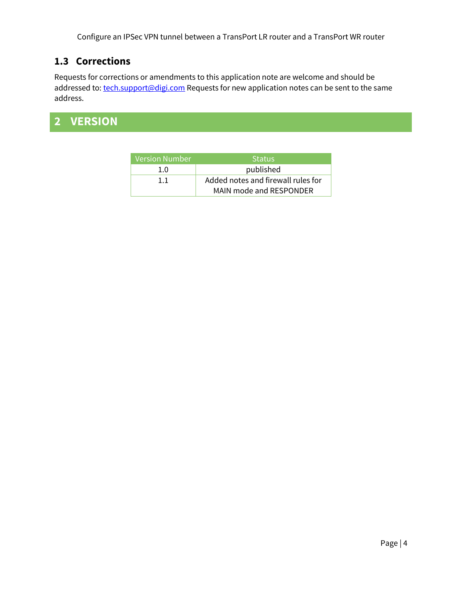## <span id="page-3-0"></span>**1.3 Corrections**

Requests for corrections or amendments to this application note are welcome and should be addressed to: [tech.support@digi.com](mailto:tech.support@digi.com) Requests for new application notes can be sent to the same address.

# <span id="page-3-1"></span>**2 VERSION**

| Version Number | <b>Status</b>                      |
|----------------|------------------------------------|
| 1.0            | published                          |
| 1.1            | Added notes and firewall rules for |
|                | MAIN mode and RESPONDER            |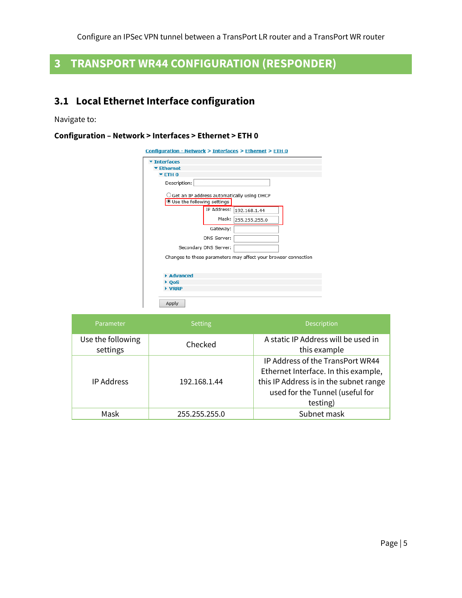# <span id="page-4-0"></span>**3 TRANSPORT WR44 CONFIGURATION (RESPONDER)**

# <span id="page-4-1"></span>**3.1 Local Ethernet Interface configuration**

Navigate to:

#### **Configuration – Network > Interfaces > Ethernet > ETH 0**

| <b>Interfaces</b>              |                       |                                                                |  |
|--------------------------------|-----------------------|----------------------------------------------------------------|--|
| $\blacktriangleright$ Ethernet |                       |                                                                |  |
| $\blacktriangledown$ ETH 0     |                       |                                                                |  |
| Description:                   |                       |                                                                |  |
| Use the following settings     |                       | Get an IP address automatically using DHCP (                   |  |
|                                |                       | IP Address: 192.168.1.44                                       |  |
|                                |                       | Mask: 255.255.255.0                                            |  |
|                                | Gateway:              |                                                                |  |
|                                | DNS Server:           |                                                                |  |
|                                | Secondary DNS Server: |                                                                |  |
|                                |                       | Changes to these parameters may affect your browser connection |  |
|                                |                       |                                                                |  |
| Advanced                       |                       |                                                                |  |
| $\rightarrow$ OoS              |                       |                                                                |  |
| VRRP                           |                       |                                                                |  |

| Parameter         | Setting       | <b>Description</b>                               |
|-------------------|---------------|--------------------------------------------------|
| Use the following | Checked       | A static IP Address will be used in              |
| settings          | 192.168.1.44  | this example<br>IP Address of the TransPort WR44 |
|                   |               | Ethernet Interface. In this example,             |
| <b>IP Address</b> |               | this IP Address is in the subnet range           |
|                   |               | used for the Tunnel (useful for                  |
|                   |               | testing)                                         |
| Mask              | 255.255.255.0 | Subnet mask                                      |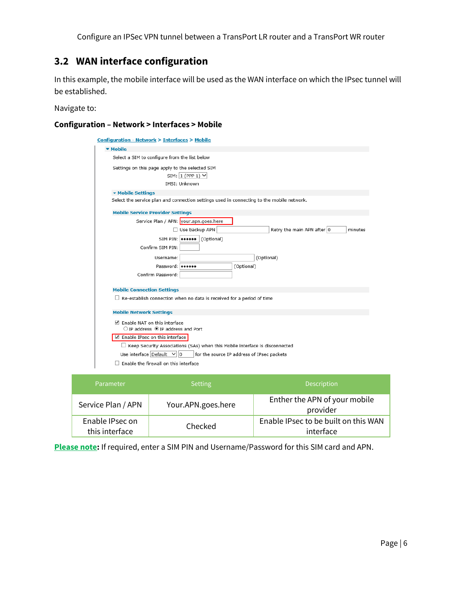#### <span id="page-5-0"></span>**3.2 WAN interface configuration**

In this example, the mobile interface will be used as the WAN interface on which the IPsec tunnel will be established.

Navigate to:

#### **Configuration – Network > Interfaces > Mobile**

| <b>Configuration - Network &gt; Interfaces &gt; Mobile</b>                                  |  |  |  |  |
|---------------------------------------------------------------------------------------------|--|--|--|--|
| ▼ Mobile                                                                                    |  |  |  |  |
| Select a SIM to configure from the list below                                               |  |  |  |  |
| Settings on this page apply to the selected SIM<br>SIM: $1$ (PPP 1) $\vee$<br>IMSI: Unknown |  |  |  |  |
| ▼ Mobile Settings                                                                           |  |  |  |  |
| Select the service plan and connection settings used in connecting to the mobile network.   |  |  |  |  |
| <b>Mobile Service Provider Settings</b>                                                     |  |  |  |  |
| Service Plan / APN: your.apn.goes.here                                                      |  |  |  |  |
| Use backup APN<br>Retry the main APN after 0<br>minutes                                     |  |  |  |  |
| SIM PIN:   ****** (Optional)                                                                |  |  |  |  |
| Confirm SIM PIN:                                                                            |  |  |  |  |
| (Optional)<br>Username:                                                                     |  |  |  |  |
| Password: 000000<br>(Optional)                                                              |  |  |  |  |
| Confirm Password:                                                                           |  |  |  |  |
| <b>Mobile Connection Settings</b>                                                           |  |  |  |  |
| $\Box$ Re-establish connection when no data is received for a period of time                |  |  |  |  |
|                                                                                             |  |  |  |  |
| <b>Mobile Network Settings</b>                                                              |  |  |  |  |
| Enable NAT on this interface<br>$\bigcirc$ IP address $\bigcirc$ IP address and Port        |  |  |  |  |
| Enable IPsec on this interface                                                              |  |  |  |  |
| $\Box$ Keep Security Associations (SAs) when this Mobile interface is disconnected          |  |  |  |  |
| Use interface Default<br>lo<br>for the source IP address of IPsec packets                   |  |  |  |  |
| Enable the firewall on this interface                                                       |  |  |  |  |

| Parameter                         | <b>Setting</b>     | <b>Description</b>                                |
|-----------------------------------|--------------------|---------------------------------------------------|
| Service Plan / APN                | Your.APN.goes.here | Enther the APN of your mobile<br>provider         |
| Enable IPsec on<br>this interface | Checked            | Enable IPsec to be built on this WAN<br>interface |

**Please note:** If required, enter a SIM PIN and Username/Password for this SIM card and APN.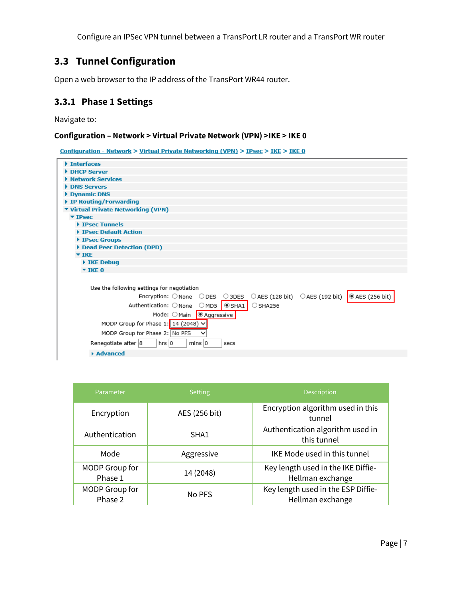# <span id="page-6-0"></span>**3.3 Tunnel Configuration**

Open a web browser to the IP address of the TransPort WR44 router.

#### <span id="page-6-1"></span>**3.3.1 Phase 1 Settings**

Navigate to:

#### **Configuration – Network > Virtual Private Network (VPN) >IKE > IKE 0**

Configuration - Network > Virtual Private Networking (VPN) > IPsec > IKE > IKE 0

| Interfaces                                                                          |
|-------------------------------------------------------------------------------------|
| DHCP Server                                                                         |
| <b>Network Services</b>                                                             |
| <b>DNS Servers</b>                                                                  |
| Dynamic DNS                                                                         |
| ▶ IP Routing/Forwarding                                                             |
| ▼ Virtual Private Networking (VPN)                                                  |
| $\Psi$ IPsec                                                                        |
| <b>FIPSec Tunnels</b>                                                               |
| <b>EXPLORED TEALLY Action</b>                                                       |
| ▶ IPsec Groups                                                                      |
| Dead Peer Detection (DPD)                                                           |
| $\blacktriangledown$ IKE                                                            |
| $\triangleright$ IKE Debug                                                          |
| $\overline{ }$ TKE 0                                                                |
|                                                                                     |
| Use the following settings for negotiation                                          |
| Encryption: ONone ODES O3DES OAES (128 bit) OAES (192 bit)<br>$\odot$ AES (256 bit) |
| Authentication: ONone OMD5 OSHA1<br>$\circ$ SHA256                                  |
| Mode: OMain   @ Aggressive                                                          |
| MODP Group for Phase 1: 14 (2048) $\vee$                                            |
| MODP Group for Phase 2: No PFS                                                      |
| Renegotiate after 8<br>hrs $ 0\rangle$<br>$mins$ 0<br>secs                          |
| Advanced                                                                            |
|                                                                                     |

| Parameter                 | <b>Setting</b> | Description                                            |
|---------------------------|----------------|--------------------------------------------------------|
| Encryption                | AES (256 bit)  | Encryption algorithm used in this<br>tunnel            |
| Authentication            | SHA1           | Authentication algorithm used in<br>this tunnel        |
| Mode                      | Aggressive     | IKE Mode used in this tunnel                           |
| MODP Group for<br>Phase 1 | 14 (2048)      | Key length used in the IKE Diffie-<br>Hellman exchange |
| MODP Group for<br>Phase 2 | No PFS         | Key length used in the ESP Diffie-<br>Hellman exchange |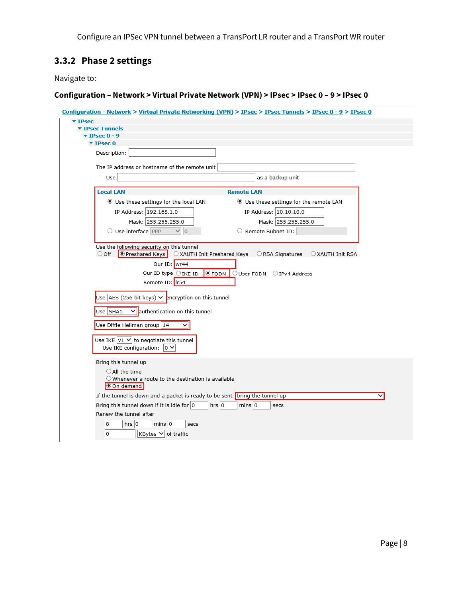# <span id="page-7-0"></span>**3.3.2 Phase 2 settings**

Navigate to:

| ▼ IPsec<br>▼ IPsec Tunnels<br>$\blacktriangledown$ IPsec 0 - 9<br>$\Psi$ IPsec 0 |                                                                            |
|----------------------------------------------------------------------------------|----------------------------------------------------------------------------|
| Description:                                                                     |                                                                            |
|                                                                                  |                                                                            |
| The IP address or hostname of the remote unit                                    |                                                                            |
| Use                                                                              | as a backup unit                                                           |
| <b>Local LAN</b>                                                                 | <b>Remote LAN</b>                                                          |
| Use these settings for the local LAN                                             | Use these settings for the remote LAN                                      |
| IP Address: 192.168.1.0                                                          | IP Address: 10.10.10.0                                                     |
| Mask: 255.255.255.0                                                              | Mask: 255.255.255.0                                                        |
| O Use interface PPP<br>$\vee$ 0                                                  | O Remote Subnet ID:                                                        |
|                                                                                  |                                                                            |
| Use the following security on this tunnel<br>O Preshared Keys<br>$\circ$ off     | O XAUTH Init Preshared Keys  O RSA Signatures  O XAUTH Init RSA            |
| Our ID: wr44                                                                     |                                                                            |
| Our ID type ○ IKE ID                                                             | $\circ$ FQDN<br>○ User FQDN ○ IPv4 Address                                 |
| Remote ID: Ir54                                                                  |                                                                            |
|                                                                                  |                                                                            |
| Use $\overline{AES(256 \text{ bit keys}) \vee}$ encryption on this tunnel        |                                                                            |
| $\vee$ authentication on this tunnel<br>$Use$ SHA1                               |                                                                            |
|                                                                                  |                                                                            |
| Use Diffie Hellman group 14                                                      |                                                                            |
| Use IKE $\sqrt{1}$ $\sqrt{}$ to negotiate this tunnel                            |                                                                            |
| Use IKE configuration: $ 0 \vee$                                                 |                                                                            |
|                                                                                  |                                                                            |
| Bring this tunnel up                                                             |                                                                            |
| $\bigcirc$ All the time                                                          |                                                                            |
| $\bigcirc$ Whenever a route to the destination is available<br>On demand         |                                                                            |
|                                                                                  | If the tunnel is down and a packet is ready to be sent bring the tunnel up |
| Bring this tunnel down if it is idle for $ 0\rangle$                             | $mins$ 0<br>hrs 0<br>secs                                                  |
| Renew the tunnel after                                                           |                                                                            |
| 8<br>$hrs$ 0<br>$mins$ 0                                                         | secs                                                                       |
|                                                                                  |                                                                            |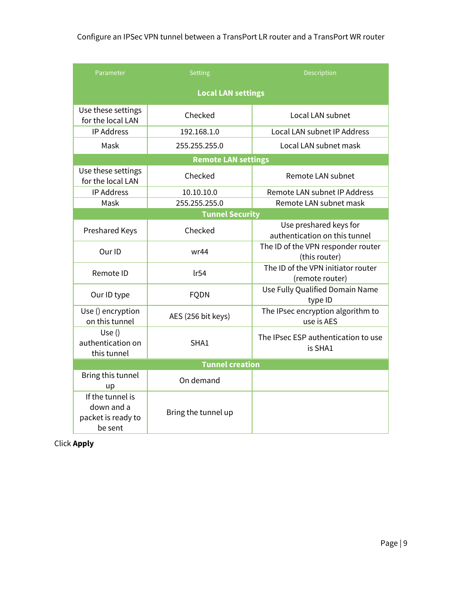| Parameter                                                       | <b>Setting</b>             | Description                                             |  |  |
|-----------------------------------------------------------------|----------------------------|---------------------------------------------------------|--|--|
| <b>Local LAN settings</b>                                       |                            |                                                         |  |  |
| Use these settings<br>for the local LAN                         | Checked                    | Local LAN subnet                                        |  |  |
| <b>IP Address</b>                                               | 192.168.1.0                | Local LAN subnet IP Address                             |  |  |
| Mask                                                            | 255.255.255.0              | Local LAN subnet mask                                   |  |  |
|                                                                 | <b>Remote LAN settings</b> |                                                         |  |  |
| Use these settings<br>for the local LAN                         | Checked                    | Remote LAN subnet                                       |  |  |
| <b>IP Address</b>                                               | 10.10.10.0                 | Remote LAN subnet IP Address                            |  |  |
| Mask                                                            | 255.255.255.0              | Remote LAN subnet mask                                  |  |  |
|                                                                 | <b>Tunnel Security</b>     |                                                         |  |  |
| <b>Preshared Keys</b>                                           | Checked                    | Use preshared keys for<br>authentication on this tunnel |  |  |
| Our ID                                                          | wr44                       | The ID of the VPN responder router<br>(this router)     |  |  |
| Remote ID                                                       | lr54                       | The ID of the VPN initiator router<br>(remote router)   |  |  |
| Our ID type                                                     | <b>FQDN</b>                | Use Fully Qualified Domain Name<br>type ID              |  |  |
| Use () encryption<br>on this tunnel                             | AES (256 bit keys)         | The IPsec encryption algorithm to<br>use is AES         |  |  |
| Use $()$<br>authentication on<br>this tunnel                    | SHA1                       | The IPsec ESP authentication to use<br>is SHA1          |  |  |
| <b>Tunnel creation</b>                                          |                            |                                                         |  |  |
| Bring this tunnel<br>up                                         | On demand                  |                                                         |  |  |
| If the tunnel is<br>down and a<br>packet is ready to<br>be sent | Bring the tunnel up        |                                                         |  |  |

Click **Apply**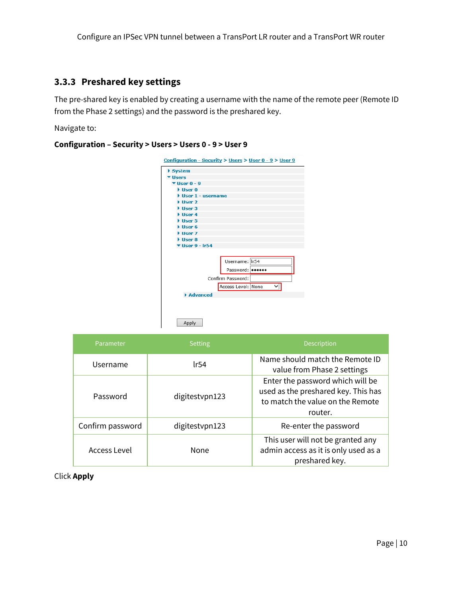#### <span id="page-9-0"></span>**3.3.3 Preshared key settings**

The pre-shared key is enabled by creating a username with the name of the remote peer (Remote ID from the Phase 2 settings) and the password is the preshared key.

Navigate to:

#### **Configuration – Security > Users > Users 0 - 9 > User 9**

| <u>Configuration - Security &gt; Users &gt; User 0 - 9 &gt; User 9</u> |                    |  |  |  |
|------------------------------------------------------------------------|--------------------|--|--|--|
| ▶ System                                                               |                    |  |  |  |
| <b>v</b> Users                                                         |                    |  |  |  |
| $\Psi$ User 0 - 9                                                      |                    |  |  |  |
| $\blacktriangleright$ User 0                                           |                    |  |  |  |
| $\blacktriangleright$ User 1 - username                                |                    |  |  |  |
| $\blacktriangleright$ User 2                                           |                    |  |  |  |
| $\blacktriangleright$ Hser 3                                           |                    |  |  |  |
| User 4                                                                 |                    |  |  |  |
| $\blacktriangleright$ User 5                                           |                    |  |  |  |
| $\blacktriangleright$ User 6                                           |                    |  |  |  |
| User 7                                                                 |                    |  |  |  |
| $\blacktriangleright$ User 8                                           |                    |  |  |  |
| $\blacktriangledown$ User 9 - Ir54                                     |                    |  |  |  |
|                                                                        |                    |  |  |  |
|                                                                        | Username: Ir54     |  |  |  |
|                                                                        | Password:          |  |  |  |
|                                                                        | Confirm Password:  |  |  |  |
|                                                                        | Access Level: None |  |  |  |
| Advanced                                                               |                    |  |  |  |
|                                                                        |                    |  |  |  |
| Apply                                                                  |                    |  |  |  |

| Parameter        | <b>Setting</b> | Description                                                                                                            |
|------------------|----------------|------------------------------------------------------------------------------------------------------------------------|
| Username         | lr54           | Name should match the Remote ID<br>value from Phase 2 settings                                                         |
| Password         | digitestypn123 | Enter the password which will be<br>used as the preshared key. This has<br>to match the value on the Remote<br>router. |
| Confirm password | digitestypn123 | Re-enter the password                                                                                                  |
| Access Level     | None           | This user will not be granted any<br>admin access as it is only used as a<br>preshared key.                            |

Click **Apply**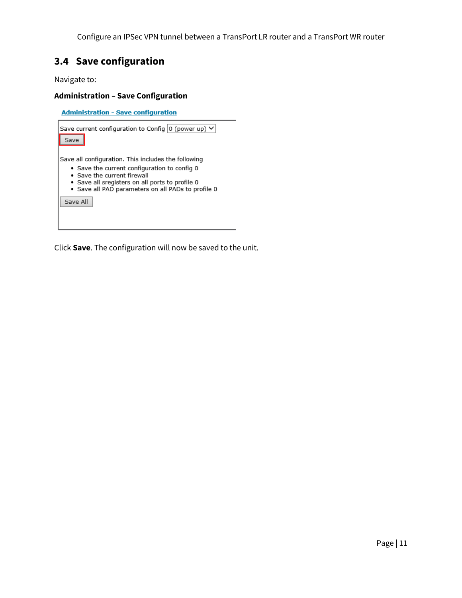#### <span id="page-10-0"></span>**3.4 Save configuration**

Navigate to:

#### **Administration – Save Configuration**

**Administration - Save configuration** Save current configuration to Config  $\boxed{0}$  (power up)  $\blacktriangleright$ Save Save all configuration. This includes the following • Save the current configuration to config 0 · Save the current firewall · Save all sregisters on all ports to profile 0 · Save all PAD parameters on all PADs to profile 0 Save All

Click **Save**. The configuration will now be saved to the unit.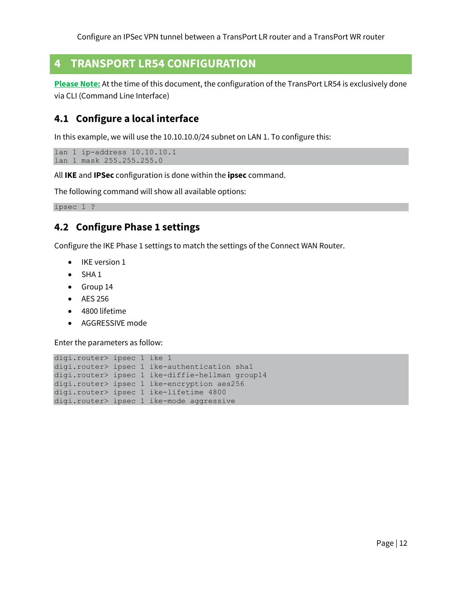# <span id="page-11-0"></span>**4 TRANSPORT LR54 CONFIGURATION**

**Please Note:** At the time of this document, the configuration of the TransPort LR54 is exclusively done via CLI (Command Line Interface)

#### <span id="page-11-1"></span>**4.1 Configure a local interface**

In this example, we will use the 10.10.10.0/24 subnet on LAN 1. To configure this:

```
lan 1 ip-address 10.10.10.1
lan 1 mask 255.255.255.0
```
All **IKE** and **IPSec** configuration is done within the **ipsec** command.

The following command will show all available options:

<span id="page-11-2"></span>ipsec 1 ?

#### **4.2 Configure Phase 1 settings**

Configure the IKE Phase 1 settings to match the settings of the Connect WAN Router.

- IKE version 1
- $\bullet$  SHA 1
- Group 14
- AES 256
- 4800 lifetime
- AGGRESSIVE mode

Enter the parameters as follow:

```
digi.router> ipsec 1 ike 1
digi.router> ipsec 1 ike-authentication sha1
digi.router> ipsec 1 ike-diffie-hellman group14
digi.router> ipsec 1 ike-encryption aes256
digi.router> ipsec 1 ike-lifetime 4800
digi.router> ipsec 1 ike-mode aggressive
```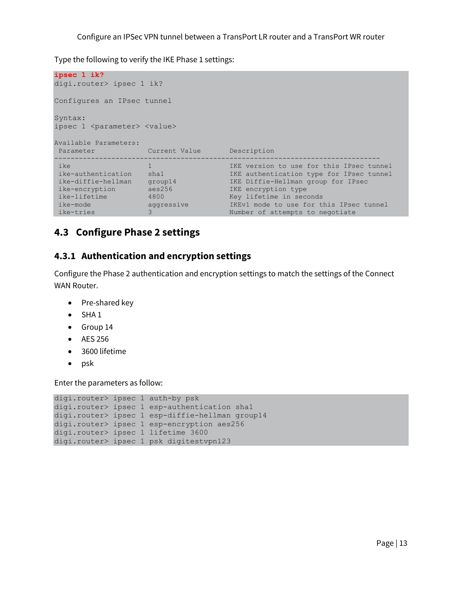Type the following to verify the IKE Phase 1 settings:

```
ipsec 1 ik?
digi.router> ipsec 1 ik?
Configures an IPsec tunnel
Syntax:
ipsec 1 <parameter> <value>
Available Parameters:
Parameter Current Value Description
 --------------------------------------------------------------------------------
 ike 1 1 1 1 1 IKE version to use for this IPsec tunnel
 ike-authentication sha1 IKE authentication type for IPsec tunnel
 ike-diffie-hellman group14 IKE Diffie-Hellman group for IPsec
 ike-encryption aes256 IKE encryption type
 ike-lifetime 4800 Key lifetime in seconds
 ike-mode aggressive IKEv1 mode to use for this IPsec tunnel
 ike-tries 3 3 3 Number of attempts to negotiate
```
#### <span id="page-12-0"></span>**4.3 Configure Phase 2 settings**

#### <span id="page-12-1"></span>**4.3.1 Authentication and encryption settings**

Configure the Phase 2 authentication and encryption settings to match the settings of the Connect WAN Router.

- Pre-shared key
- $\bullet$  SHA 1
- Group 14
- AES 256
- 3600 lifetime
- $\bullet$  psk

Enter the parameters as follow:

```
digi.router> ipsec 1 auth-by psk
digi.router> ipsec 1 esp-authentication sha1
digi.router> ipsec 1 esp-diffie-hellman group14
digi.router> ipsec 1 esp-encryption aes256
digi.router> ipsec 1 lifetime 3600
digi.router> ipsec 1 psk digitestvpn123
```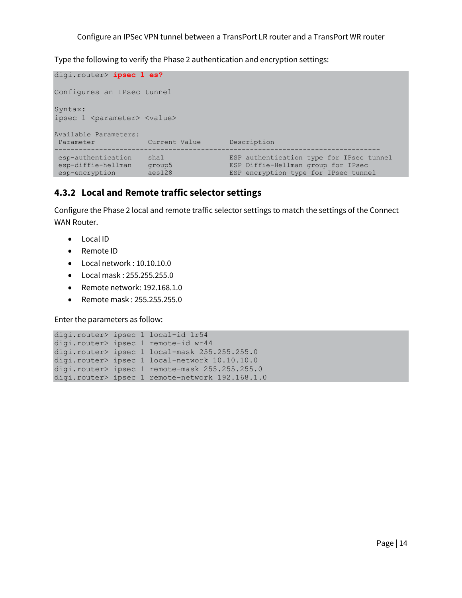Type the following to verify the Phase 2 authentication and encryption settings:

```
digi.router> ipsec 1 es?
Configures an IPsec tunnel
Syntax:
ipsec 1 <parameter> <value>
Available Parameters:
Parameter Current Value Description
       --------------------------------------------------------------------------------
 esp-authentication sha1 ESP authentication type for IPsec tunnel
 esp-diffie-hellman group5 ESP Diffie-Hellman group for IPsec
esp-encryption aes128 ESP encryption type for IPsec tunnel
```
#### <span id="page-13-0"></span>**4.3.2 Local and Remote traffic selector settings**

Configure the Phase 2 local and remote traffic selector settings to match the settings of the Connect WAN Router.

- Local ID
- Remote ID
- Local network : 10.10.10.0
- Local mask : 255.255.255.0
- Remote network: 192.168.1.0
- Remote mask : 255.255.255.0

Enter the parameters as follow:

```
digi.router> ipsec 1 local-id lr54
digi.router> ipsec 1 remote-id wr44
digi.router> ipsec 1 local-mask 255.255.255.0
digi.router> ipsec 1 local-network 10.10.10.0
digi.router> ipsec 1 remote-mask 255.255.255.0
digi.router> ipsec 1 remote-network 192.168.1.0
```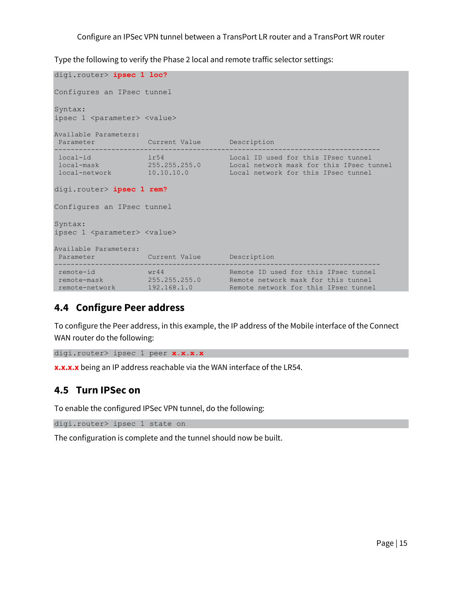Type the following to verify the Phase 2 local and remote traffic selector settings:

```
digi.router> ipsec 1 loc?
Configures an IPsec tunnel
Syntax:
ipsec 1 <parameter> <value>
Available Parameters:
Parameter Current Value Description
--------------------------------------------------------------------------------
 local-id lr54 Local ID used for this IPsec tunnel
 local-mask 255.255.255.0 Local network mask for this IPsec tunnel
 local-network 10.10.10.0 Local network for this IPsec tunnel
digi.router> ipsec 1 rem?
Configures an IPsec tunnel
Syntax:
ipsec 1 <parameter> <value>
Available Parameters:
Parameter Current Value Description
--------------------------------------------------------------------------------
 remote-id wr44 Remote ID used for this IPsec tunnel
 remote-mask 255.255.255.0 Remote network mask for this tunnel
 remote-network 192.168.1.0 Remote network for this IPsec tunnel
```
#### <span id="page-14-0"></span>**4.4 Configure Peer address**

To configure the Peer address, in this example, the IP address of the Mobile interface of the Connect WAN router do the following:

```
digi.router> ipsec 1 peer x.x.x.x
```
**x.x.x.x** being an IP address reachable via the WAN interface of the LR54.

#### <span id="page-14-1"></span>**4.5 Turn IPSec on**

To enable the configured IPSec VPN tunnel, do the following:

digi.router> ipsec 1 state on

The configuration is complete and the tunnel should now be built.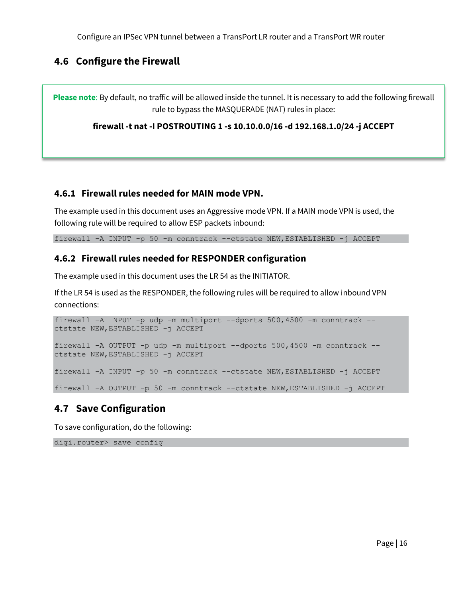#### <span id="page-15-0"></span>**4.6 Configure the Firewall**

**Please note**: By default, no traffic will be allowed inside the tunnel. It is necessary to add the following firewall rule to bypass the MASQUERADE (NAT) rules in place:

**firewall -t nat -I POSTROUTING 1 -s 10.10.0.0/16 -d 192.168.1.0/24 -j ACCEPT**

#### <span id="page-15-1"></span>**4.6.1 Firewall rules needed for MAIN mode VPN.**

The example used in this document uses an Aggressive mode VPN. If a MAIN mode VPN is used, the following rule will be required to allow ESP packets inbound:

<span id="page-15-2"></span>firewall -A INPUT -p 50 -m conntrack --ctstate NEW,ESTABLISHED -j ACCEPT

#### **4.6.2 Firewall rules needed for RESPONDER configuration**

The example used in this document uses the LR 54 as the INITIATOR.

If the LR 54 is used as the RESPONDER, the following rules will be required to allow inbound VPN connections:

firewall -A INPUT -p udp -m multiport --dports 500,4500 -m conntrack - ctstate NEW,ESTABLISHED -j ACCEPT firewall -A OUTPUT -p udp -m multiport --dports 500,4500 -m conntrack - ctstate NEW,ESTABLISHED -j ACCEPT firewall -A INPUT -p 50 -m conntrack --ctstate NEW,ESTABLISHED -j ACCEPT

<span id="page-15-3"></span>firewall -A OUTPUT -p 50 -m conntrack --ctstate NEW,ESTABLISHED -j ACCEPT

#### **4.7 Save Configuration**

To save configuration, do the following:

digi.router> save config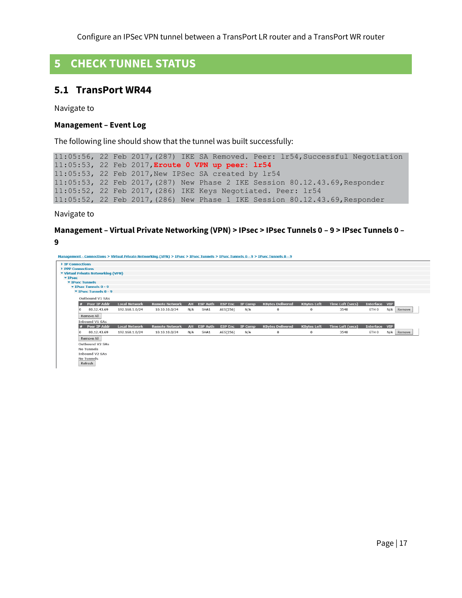# <span id="page-16-0"></span>**5 CHECK TUNNEL STATUS**

#### <span id="page-16-1"></span>**5.1 TransPort WR44**

Navigate to

#### **Management – Event Log**

The following line should show that the tunnel was built successfully:

```
11:05:56, 22 Feb 2017,(287) IKE SA Removed. Peer: lr54,Successful Negotiation
11:05:53, 22 Feb 2017,Eroute 0 VPN up peer: lr54
11:05:53, 22 Feb 2017,New IPSec SA created by lr54
11:05:53, 22 Feb 2017,(287) New Phase 2 IKE Session 80.12.43.69,Responder
11:05:52, 22 Feb 2017,(286) IKE Keys Negotiated. Peer: lr54
11:05:52, 22 Feb 2017,(286) New Phase 1 IKE Session 80.12.43.69,Responder
```
Navigate to

#### **Management – Virtual Private Networking (VPN) > IPsec > IPsec Tunnels 0 – 9 > IPsec Tunnels 0 – 9**

Management - Connections > Virtual Private Networking (VPN) > IPsec > IPsec Tunnels > IPsec Tunnels 0 - 9 > IPsec Tunnels 0 - 9

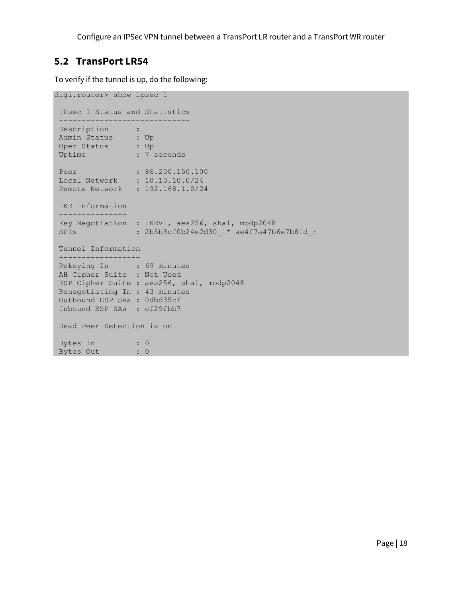#### <span id="page-17-0"></span>**5.2 TransPort LR54**

To verify if the tunnel is up, do the following:

```
digi.router> show ipsec 1
IPsec 1 Status and Statistics
-----------------------------
 Description :
 Admin Status : Up
 Oper Status : Up
 Uptime : 7 seconds
 Peer : 86.200.150.100
 Local Network : 10.10.10.0/24
Remote Network : 192.168.1.0/24
IKE Information
---------------
Key Negotiation : IKEv1, aes256, sha1, modp2048
SPIs : 2b5b3cf0b24e2d30 i* ae4f7a47b6e7b81d r
Tunnel Information
 ------------------
 Rekeying In : 69 minutes
 AH Cipher Suite : Not Used
ESP Cipher Suite : aes256, sha1, modp2048
Renegotiating In : 43 minutes
Outbound ESP SAs : 0dbd35cf
Inbound ESP SAs : cf29fbb7
Dead Peer Detection is on
Bytes In : 0
Bytes Out : 0
```